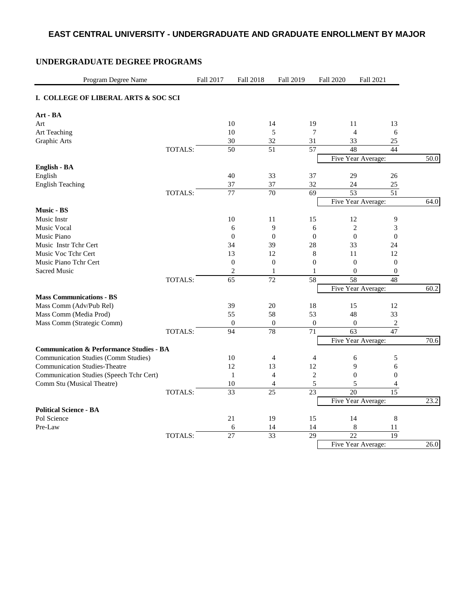## **UNDERGRADUATE DEGREE PROGRAMS**

| Program Degree Name                                 |         | Fall 2017       | <b>Fall 2018</b> | Fall 2019        |                  | <b>Fall 2020</b> | Fall 2021          |                         |
|-----------------------------------------------------|---------|-----------------|------------------|------------------|------------------|------------------|--------------------|-------------------------|
| I. COLLEGE OF LIBERAL ARTS & SOC SCI                |         |                 |                  |                  |                  |                  |                    |                         |
| Art - BA                                            |         |                 |                  |                  |                  |                  |                    |                         |
| Art                                                 |         | 10              |                  | 14               | 19               | 11               |                    | 13                      |
| <b>Art Teaching</b>                                 |         | 10              |                  | 5                | $\tau$           |                  | $\overline{4}$     | 6                       |
| Graphic Arts                                        |         | 30              |                  | 32               | 31               | 33               |                    | 25                      |
|                                                     | TOTALS: | 50              |                  | $\overline{51}$  | 57               | 48               |                    | 44                      |
|                                                     |         |                 |                  |                  |                  |                  | Five Year Average: | 50.0                    |
| English - BA                                        |         |                 |                  |                  |                  |                  |                    |                         |
| English                                             |         | 40              |                  | 33               | 37               | 29               |                    | 26                      |
| <b>English Teaching</b>                             |         | 37              |                  | 37               | 32               | 24               |                    | 25                      |
|                                                     | TOTALS: | 77              |                  | 70               | 69               | $\overline{53}$  |                    | 51                      |
|                                                     |         |                 |                  |                  |                  |                  | Five Year Average: | 64.0                    |
| <b>Music - BS</b>                                   |         |                 |                  |                  |                  |                  |                    |                         |
| Music Instr                                         |         | 10              |                  | 11               | 15               | 12               |                    | 9                       |
| Music Vocal                                         |         |                 | 6                | 9                | 6                |                  | $\overline{c}$     | 3                       |
| Music Piano                                         |         |                 | $\boldsymbol{0}$ | $\boldsymbol{0}$ | $\boldsymbol{0}$ |                  | $\boldsymbol{0}$   | $\boldsymbol{0}$        |
| Music Instr Tchr Cert                               |         | 34              |                  | 39               | 28               | 33               |                    | 24                      |
| Music Voc Tchr Cert                                 |         | 13              |                  | 12               | 8                | 11               |                    | 12                      |
| Music Piano Tchr Cert                               |         |                 | $\boldsymbol{0}$ | $\overline{0}$   | $\boldsymbol{0}$ |                  | $\boldsymbol{0}$   | $\boldsymbol{0}$        |
| <b>Sacred Music</b>                                 |         |                 | $\sqrt{2}$       | 1                | $\mathbf{1}$     |                  | $\overline{0}$     | $\boldsymbol{0}$        |
|                                                     | TOTALS: | $\overline{65}$ |                  | $\overline{72}$  | $\overline{58}$  | 58               |                    | 48                      |
|                                                     |         |                 |                  |                  |                  |                  | Five Year Average: | 60.2                    |
| <b>Mass Communications - BS</b>                     |         |                 |                  |                  |                  |                  |                    |                         |
| Mass Comm (Adv/Pub Rel)                             |         | 39              |                  | 20               | 18               | 15               |                    | 12                      |
| Mass Comm (Media Prod)                              |         | 55              |                  | 58               | 53               | 48               |                    | 33                      |
| Mass Comm (Strategic Comm)                          |         |                 | $\mathbf{0}$     | $\mathbf{0}$     | $\mathbf{0}$     |                  | $\Omega$           | $\overline{\mathbf{c}}$ |
|                                                     | TOTALS: | 94              |                  | 78               | 71               | 63               |                    | 47                      |
|                                                     |         |                 |                  |                  |                  |                  | Five Year Average: | 70.6                    |
| <b>Communication &amp; Performance Studies - BA</b> |         |                 |                  |                  |                  |                  |                    |                         |
| <b>Communication Studies (Comm Studies)</b>         |         | 10              |                  | 4                | $\overline{4}$   |                  | 6                  | 5                       |
| <b>Communication Studies-Theatre</b>                |         | 12              |                  | 13               | 12               |                  | 9                  | 6                       |
| Communication Studies (Speech Tchr Cert)            |         | $\mathbf{1}$    |                  | $\overline{4}$   | $\mathbf{2}$     |                  | $\mathbf{0}$       | $\overline{0}$          |
| Comm Stu (Musical Theatre)                          |         | 10              |                  | $\overline{4}$   | 5                |                  | 5                  | 4                       |
|                                                     | TOTALS: | $\overline{33}$ |                  | 25               | 23               | 20               |                    | 15                      |
|                                                     |         |                 |                  |                  |                  |                  | Five Year Average: | 23.2                    |
| <b>Political Science - BA</b>                       |         |                 |                  |                  |                  |                  |                    |                         |
| Pol Science                                         |         | $21\,$          |                  | 19               | 15               | 14               |                    | $\,$ 8 $\,$             |
| Pre-Law                                             |         |                 | 6                | 14               | 14               |                  | $\,8\,$            | 11                      |
|                                                     | TOTALS: | $\overline{27}$ |                  | $\overline{33}$  | $\overline{29}$  | $\overline{22}$  |                    | $\overline{19}$         |
|                                                     |         |                 |                  |                  |                  |                  | Five Year Average: | 26.0                    |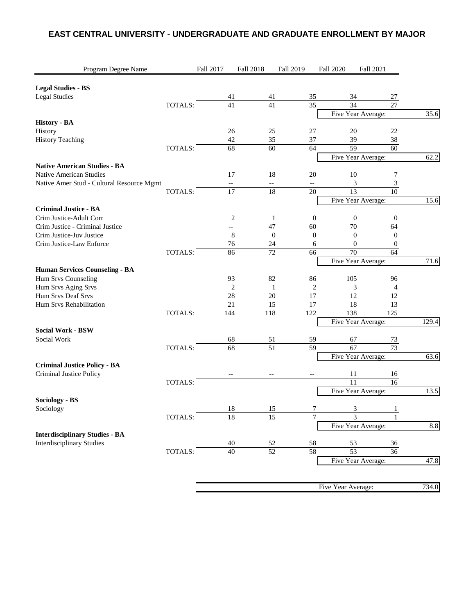| Program Degree Name                                  |         | Fall 2017                | <b>Fall 2018</b> | Fall 2019                |                          | <b>Fall 2020</b>   |                             | Fall 2021              |         |
|------------------------------------------------------|---------|--------------------------|------------------|--------------------------|--------------------------|--------------------|-----------------------------|------------------------|---------|
| <b>Legal Studies - BS</b>                            |         |                          |                  |                          |                          |                    |                             |                        |         |
| <b>Legal Studies</b>                                 |         | 41                       |                  | 41                       | 35                       |                    | 34                          | 27                     |         |
|                                                      | TOTALS: | 41                       |                  | 41                       | 35                       |                    | $\overline{34}$             | $\overline{27}$        |         |
|                                                      |         |                          |                  |                          |                          | Five Year Average: |                             |                        | 35.6    |
| <b>History - BA</b>                                  |         |                          |                  |                          |                          |                    |                             |                        |         |
| History                                              |         | 26                       |                  | 25                       | 27                       |                    | 20                          | 22                     |         |
| <b>History Teaching</b>                              |         | 42                       |                  | 35                       | 37                       |                    | 39                          | 38                     |         |
|                                                      | TOTALS: | 68                       |                  | $\overline{60}$          | 64                       |                    | 59                          | $\overline{60}$        |         |
|                                                      |         |                          |                  |                          |                          | Five Year Average: |                             |                        | 62.2    |
| <b>Native American Studies - BA</b>                  |         |                          |                  |                          |                          |                    |                             |                        |         |
| <b>Native American Studies</b>                       |         | 17                       |                  | 18                       | 20                       |                    | 10                          | 7                      |         |
| Native Amer Stud - Cultural Resource Mgmt            |         | $-\hbox{--}$             |                  | $\overline{\phantom{m}}$ | $\overline{\phantom{a}}$ |                    | 3                           | $\mathfrak{Z}$         |         |
|                                                      | TOTALS: | 17                       |                  | 18                       | 20                       |                    | 13                          | 10                     |         |
|                                                      |         |                          |                  |                          |                          | Five Year Average: |                             |                        | 15.6    |
| <b>Criminal Justice - BA</b>                         |         |                          |                  |                          |                          |                    |                             |                        |         |
| Crim Justice-Adult Corr                              |         |                          | $\overline{c}$   | $\mathbf{1}$             | $\boldsymbol{0}$         |                    | $\mathbf{0}$                | $\boldsymbol{0}$       |         |
| Crim Justice - Criminal Justice                      |         | --                       |                  | 47                       | 60                       |                    | 70                          | 64                     |         |
| Crim Justice-Juv Justice<br>Crim Justice-Law Enforce |         |                          | 8                | $\boldsymbol{0}$         | $\boldsymbol{0}$         |                    | $\boldsymbol{0}$            | $\boldsymbol{0}$       |         |
|                                                      | TOTALS: | 76<br>86                 |                  | 24<br>$\overline{72}$    | 6<br>66                  |                    | $\theta$<br>$\overline{70}$ | $\boldsymbol{0}$<br>64 |         |
|                                                      |         |                          |                  |                          |                          | Five Year Average: |                             |                        | 71.6    |
| Human Services Counseling - BA                       |         |                          |                  |                          |                          |                    |                             |                        |         |
| Hum Srvs Counseling                                  |         | 93                       |                  | 82                       | 86                       |                    | 105                         | 96                     |         |
| Hum Srvs Aging Srvs                                  |         |                          | $\overline{2}$   | $\mathbf{1}$             | $\overline{2}$           |                    | 3                           | 4                      |         |
| Hum Srvs Deaf Srvs                                   |         | 28                       |                  | 20                       | 17                       |                    | 12                          | 12                     |         |
| Hum Srvs Rehabilitation                              |         | 21                       |                  | 15                       | 17                       |                    | 18                          | 13                     |         |
|                                                      | TOTALS: | 144                      |                  | 118                      | 122                      |                    | 138                         | 125                    |         |
|                                                      |         |                          |                  |                          |                          | Five Year Average: |                             |                        | 129.4   |
| <b>Social Work - BSW</b>                             |         |                          |                  |                          |                          |                    |                             |                        |         |
| Social Work                                          |         | 68                       |                  | 51                       | 59                       |                    | 67                          | 73                     |         |
|                                                      | TOTALS: | 68                       |                  | 51                       | 59                       |                    | 67                          | 73                     |         |
|                                                      |         |                          |                  |                          |                          | Five Year Average: |                             |                        | 63.6    |
| <b>Criminal Justice Policy - BA</b>                  |         |                          |                  |                          |                          |                    |                             |                        |         |
| Criminal Justice Policy                              |         | $\overline{\phantom{a}}$ |                  | $\overline{\phantom{m}}$ | $\overline{a}$           |                    | 11                          | 16                     |         |
|                                                      | TOTALS: |                          |                  |                          |                          |                    | 11                          | 16                     |         |
|                                                      |         |                          |                  |                          |                          | Five Year Average: |                             |                        | 13.5    |
| <b>Sociology - BS</b>                                |         |                          |                  |                          |                          |                    |                             |                        |         |
| Sociology                                            |         | 18                       |                  | 15                       | 7                        |                    | 3                           | 1                      |         |
|                                                      | TOTALS: | 18                       |                  | 15                       | 7                        |                    | 3                           | $\mathbf{1}$           |         |
|                                                      |         |                          |                  |                          |                          | Five Year Average: |                             |                        | $8.8\,$ |
| <b>Interdisciplinary Studies - BA</b>                |         |                          |                  |                          |                          |                    |                             |                        |         |
| <b>Interdisciplinary Studies</b>                     |         | 40                       |                  | 52                       | 58                       |                    | 53                          | 36                     |         |
|                                                      | TOTALS: | 40                       |                  | 52                       | 58                       |                    | 53                          | 36                     |         |
|                                                      |         |                          |                  |                          |                          | Five Year Average: |                             |                        | 47.8    |
|                                                      |         |                          |                  |                          |                          |                    |                             |                        |         |
|                                                      |         |                          |                  |                          |                          |                    |                             |                        |         |
|                                                      |         |                          |                  |                          |                          | Five Year Average: |                             |                        | 734.0   |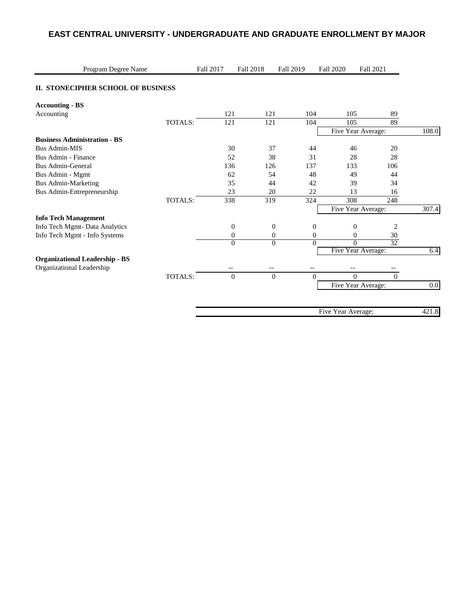| Program Degree Name                   |                | <b>Fall 2017</b> | <b>Fall 2018</b> |                  | <b>Fall 2019</b> | <b>Fall 2020</b>   |                    | <b>Fall 2021</b> |         |
|---------------------------------------|----------------|------------------|------------------|------------------|------------------|--------------------|--------------------|------------------|---------|
| II. STONECIPHER SCHOOL OF BUSINESS    |                |                  |                  |                  |                  |                    |                    |                  |         |
| <b>Accounting - BS</b>                |                |                  |                  |                  |                  |                    |                    |                  |         |
| Accounting                            |                | 121              |                  | 121              | 104              |                    | 105                | 89               |         |
|                                       | <b>TOTALS:</b> | 121              |                  | 121              | 104              |                    | 105                | 89               |         |
|                                       |                |                  |                  |                  |                  |                    | Five Year Average: |                  | 108.0   |
| <b>Business Administration - BS</b>   |                |                  |                  |                  |                  |                    |                    |                  |         |
| <b>Bus Admin-MIS</b>                  |                |                  | 30               | 37               | 44               |                    | 46                 | 20               |         |
| Bus Admin - Finance                   |                |                  | 52               | 38               | 31               |                    | 28                 | 28               |         |
| Bus Admin-General                     |                | 136              |                  | 126              | 137              |                    | 133                | 106              |         |
| Bus Admin - Mgmt                      |                |                  | 62               | 54               | 48               |                    | 49                 | 44               |         |
| <b>Bus Admin-Marketing</b>            |                |                  | 35               | 44               | 42               |                    | 39                 | 34               |         |
| Bus Admin-Entrepreneurship            |                |                  | 23               | 20               | 22               |                    | 13                 | 16               |         |
|                                       | <b>TOTALS:</b> | 338              |                  | 319              | 324              |                    | 308                | 248              |         |
|                                       |                |                  |                  |                  |                  |                    | Five Year Average: |                  | 307.4   |
| <b>Info Tech Management</b>           |                |                  |                  |                  |                  |                    |                    |                  |         |
| Info Tech Mgmt- Data Analytics        |                |                  | $\theta$         | $\overline{0}$   | $\mathbf{0}$     |                    | $\mathbf{0}$       | 2                |         |
| Info Tech Mgmt - Info Systems         |                |                  | $\overline{0}$   | $\mathbf{0}$     | $\theta$         |                    | $\mathbf{0}$       | 30               |         |
|                                       |                |                  | $\overline{0}$   | $\overline{0}$   | $\Omega$         |                    | $\overline{0}$     | 32               |         |
|                                       |                |                  |                  |                  |                  |                    | Five Year Average: |                  | 6.4     |
| <b>Organizational Leadership - BS</b> |                |                  |                  |                  |                  |                    |                    |                  |         |
| Organizational Leadership             |                |                  |                  |                  |                  |                    |                    |                  |         |
|                                       | <b>TOTALS:</b> |                  | $\mathbf{0}$     | $\boldsymbol{0}$ | $\Omega$         |                    | $\Omega$           | $\theta$         |         |
|                                       |                |                  |                  |                  |                  |                    | Five Year Average: |                  | $0.0\,$ |
|                                       |                |                  |                  |                  |                  |                    |                    |                  |         |
|                                       |                |                  |                  |                  |                  | Five Year Average: |                    |                  | 421.8   |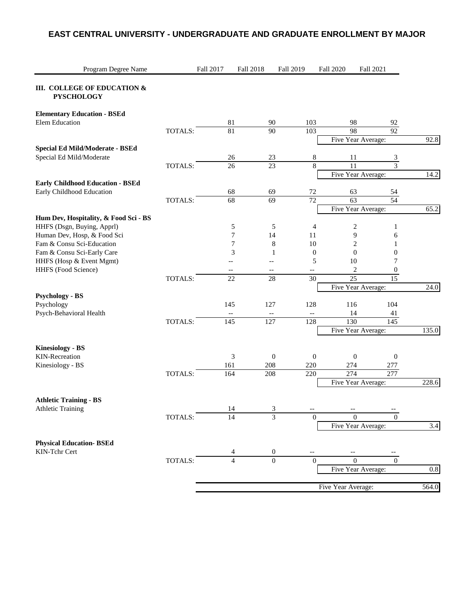| Program Degree Name                                                 |         | Fall 2017 | Fall 2018      |                  | Fall 2019                | <b>Fall 2020</b>   | Fall 2021        |         |
|---------------------------------------------------------------------|---------|-----------|----------------|------------------|--------------------------|--------------------|------------------|---------|
| III. COLLEGE OF EDUCATION &<br><b>PYSCHOLOGY</b>                    |         |           |                |                  |                          |                    |                  |         |
| <b>Elementary Education - BSEd</b>                                  |         |           |                |                  |                          |                    |                  |         |
| <b>Elem Education</b>                                               |         |           | 81             | 90               | 103                      | 98                 | 92               |         |
|                                                                     | TOTALS: |           | 81             | 90               | 103                      | 98                 | 92               |         |
|                                                                     |         |           |                |                  |                          | Five Year Average: |                  | 92.8    |
| Special Ed Mild/Moderate - BSEd<br>Special Ed Mild/Moderate         |         |           | 26             | 23               | 8                        | 11                 |                  |         |
|                                                                     | TOTALS: |           | 26             | $\overline{23}$  | 8                        | 11                 | $\frac{3}{3}$    |         |
|                                                                     |         |           |                |                  |                          | Five Year Average: |                  | 14.2    |
| <b>Early Childhood Education - BSEd</b>                             |         |           |                |                  |                          |                    |                  |         |
| Early Childhood Education                                           |         |           | 68             | 69               | 72                       | 63                 | 54               |         |
|                                                                     | TOTALS: |           | 68             | 69               | 72                       | $\overline{63}$    | $\overline{54}$  |         |
|                                                                     |         |           |                |                  |                          | Five Year Average: |                  | 65.2    |
| Hum Dev, Hospitality, & Food Sci - BS<br>HHFS (Dsgn, Buying, Apprl) |         |           | 5              | 5                | 4                        | 2                  | 1                |         |
| Human Dev, Hosp, & Food Sci                                         |         |           | 7              | 14               | 11                       | 9                  | 6                |         |
| Fam & Consu Sci-Education                                           |         |           | 7              | 8                | 10                       | $\overline{c}$     | 1                |         |
| Fam & Consu Sci-Early Care                                          |         |           | 3              | 1                | $\mathbf{0}$             | $\boldsymbol{0}$   | $\boldsymbol{0}$ |         |
| HHFS (Hosp & Event Mgmt)                                            |         |           | $-$            | $-$              | 5                        | 10                 | 7                |         |
| HHFS (Food Science)                                                 |         |           |                | $-$              | $\overline{\phantom{a}}$ | $\overline{c}$     | $\boldsymbol{0}$ |         |
|                                                                     | TOTALS: |           | 22             | 28               | 30                       | $\overline{25}$    | 15               |         |
|                                                                     |         |           |                |                  |                          | Five Year Average: |                  | 24.0    |
| <b>Psychology - BS</b>                                              |         |           |                |                  |                          |                    |                  |         |
| Psychology                                                          |         |           | 145            | 127              | 128                      | 116                | 104              |         |
| Psych-Behavioral Health                                             | TOTALS: |           | 145            | $\overline{127}$ | $-$<br>128               | 14<br>130          | 41<br>145        |         |
|                                                                     |         |           |                |                  |                          | Five Year Average: |                  | 135.0   |
|                                                                     |         |           |                |                  |                          |                    |                  |         |
| <b>Kinesiology - BS</b>                                             |         |           |                |                  |                          |                    |                  |         |
| <b>KIN-Recreation</b>                                               |         |           | 3              | $\mathbf{0}$     | $\mathbf{0}$             | $\boldsymbol{0}$   | $\boldsymbol{0}$ |         |
| Kinesiology - BS                                                    |         |           | 161            | 208              | 220                      | 274                | 277              |         |
|                                                                     | TOTALS: |           | 164            | 208              | 220                      | 274                | 277              |         |
|                                                                     |         |           |                |                  |                          | Five Year Average: |                  | 228.6   |
| <b>Athletic Training - BS</b>                                       |         |           |                |                  |                          |                    |                  |         |
| Athletic Training                                                   |         |           | 14             | 3                |                          |                    |                  |         |
|                                                                     | TOTALS: |           | 14             | 3                | $\boldsymbol{0}$         | $\overline{0}$     | $\boldsymbol{0}$ |         |
|                                                                     |         |           |                |                  |                          | Five Year Average: |                  | $3.4$   |
|                                                                     |         |           |                |                  |                          |                    |                  |         |
| <b>Physical Education-BSEd</b>                                      |         |           |                |                  |                          |                    |                  |         |
| KIN-Tchr Cert                                                       |         |           |                | 0                |                          |                    |                  |         |
|                                                                     | TOTALS: |           | $\overline{4}$ | $\boldsymbol{0}$ | $\overline{0}$           | $\theta$           | $\Omega$         |         |
|                                                                     |         |           |                |                  |                          | Five Year Average: |                  | $0.8\,$ |
|                                                                     |         |           |                |                  |                          | Five Year Average: |                  | 564.0   |
|                                                                     |         |           |                |                  |                          |                    |                  |         |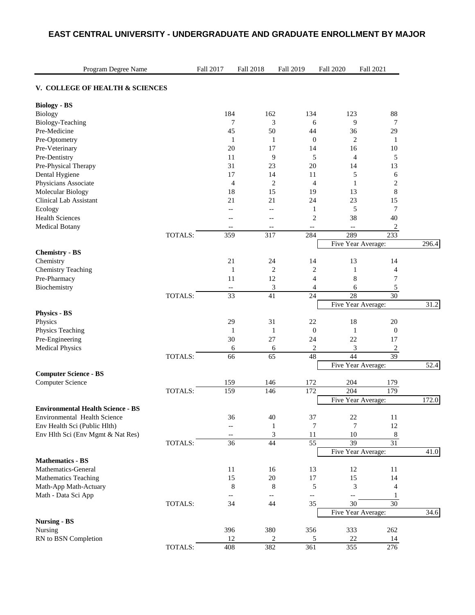| Program Degree Name                      |                | Fall 2017                         | <b>Fall 2018</b>         | Fall 2019                | <b>Fall 2020</b>                                    | Fall 2021          |       |
|------------------------------------------|----------------|-----------------------------------|--------------------------|--------------------------|-----------------------------------------------------|--------------------|-------|
| V. COLLEGE OF HEALTH & SCIENCES          |                |                                   |                          |                          |                                                     |                    |       |
| <b>Biology - BS</b>                      |                |                                   |                          |                          |                                                     |                    |       |
| Biology                                  |                | 184                               | 162                      | 134                      | 123                                                 | 88                 |       |
| Biology-Teaching                         |                | 7                                 | 3                        |                          | 9<br>6                                              | 7                  |       |
| Pre-Medicine                             |                | 45                                | 50                       | 44                       | 36                                                  | 29                 |       |
| Pre-Optometry                            |                | 1                                 | 1                        |                          | $\overline{c}$<br>$\mathbf{0}$                      | 1                  |       |
|                                          |                | 20                                | 17                       | 14                       | 16                                                  |                    |       |
| Pre-Veterinary<br>Pre-Dentistry          |                |                                   |                          |                          |                                                     | 10                 |       |
|                                          |                | 11                                | 9                        |                          | 5<br>$\overline{4}$                                 | 5                  |       |
| Pre-Physical Therapy                     |                | 31<br>17                          | 23<br>14                 | 20<br>11                 | 14                                                  | 13                 |       |
| Dental Hygiene                           |                |                                   |                          |                          | 5                                                   | 6                  |       |
| Physicians Associate                     |                | 4                                 | $\sqrt{2}$               |                          | 4<br>1                                              | 2                  |       |
| Molecular Biology                        |                | 18                                | 15                       | 19                       | 13                                                  | 8                  |       |
| Clinical Lab Assistant                   |                | 21                                | 21                       | 24                       | 23                                                  | 15                 |       |
| Ecology                                  |                | $-$                               | $- -$                    |                          | 5<br>1                                              | 7                  |       |
| <b>Health Sciences</b>                   |                | $\qquad \qquad -$                 | $-$                      |                          | $\overline{2}$<br>38                                | 40                 |       |
| <b>Medical Botany</b>                    |                | $\qquad \qquad -$                 | $\overline{\phantom{m}}$ | --                       | $\overline{\phantom{a}}$                            | 2                  |       |
|                                          | TOTALS:        | 359                               | 317                      | 284                      | 289                                                 | 233                |       |
|                                          |                |                                   |                          |                          |                                                     | Five Year Average: | 296.4 |
| <b>Chemistry - BS</b>                    |                |                                   |                          |                          |                                                     |                    |       |
| Chemistry                                |                | 21                                | 24                       | 14                       | 13                                                  | 14                 |       |
| Chemistry Teaching                       |                | $\mathbf{1}$                      | $\overline{2}$           |                          | $\overline{c}$<br>1                                 | 4                  |       |
| Pre-Pharmacy                             |                | 11                                | 12                       |                          | 8<br>4                                              | 7                  |       |
| Biochemistry                             |                | $\hspace{0.05cm} \dashrightarrow$ | 3                        |                          | 4<br>6                                              | 5                  |       |
|                                          | <b>TOTALS:</b> | $\overline{33}$                   | $\overline{41}$          | 24                       | 28                                                  | 30                 |       |
|                                          |                |                                   |                          |                          |                                                     | Five Year Average: | 31.2  |
| <b>Physics - BS</b>                      |                |                                   |                          |                          |                                                     |                    |       |
| Physics                                  |                | 29                                | 31                       | 22                       | 18                                                  | 20                 |       |
| Physics Teaching                         |                | 1                                 | 1                        |                          | $\mathbf{0}$<br>$\mathbf{1}$                        | $\boldsymbol{0}$   |       |
| Pre-Engineering                          |                | 30                                | 27                       | 24                       | 22                                                  | 17                 |       |
| <b>Medical Physics</b>                   |                | 6                                 | 6                        |                          | 3<br>2                                              | 2                  |       |
|                                          | TOTALS:        | 66                                | 65                       | 48                       | 44                                                  | 39                 |       |
|                                          |                |                                   |                          |                          |                                                     | Five Year Average: | 52.4  |
| <b>Computer Science - BS</b>             |                |                                   |                          |                          |                                                     |                    |       |
| Computer Science                         |                | 159                               | 146                      | 172                      | 204                                                 | 179                |       |
|                                          | <b>TOTALS:</b> | 159                               | 146                      | $\overline{172}$         | 204                                                 | 179                |       |
|                                          |                |                                   |                          |                          |                                                     |                    | 172.0 |
|                                          |                |                                   |                          |                          |                                                     | Five Year Average: |       |
| <b>Environmental Health Science - BS</b> |                |                                   |                          |                          |                                                     |                    |       |
| Environmental Health Science             |                | 36                                | 40                       | 37                       | 22                                                  | 11                 |       |
| Env Health Sci (Public Hlth)             |                | $\overline{\phantom{a}}$          | $\mathbf{1}$             |                          | 7<br>7                                              | 12                 |       |
| Env Hlth Sci (Env Mgmt & Nat Res)        |                | $\qquad \qquad -$                 | 3                        | 11                       | $10\,$                                              | $\,8\,$            |       |
|                                          | TOTALS:        | 36                                | 44                       | $\overline{55}$          | 39                                                  | 31                 |       |
|                                          |                |                                   |                          |                          |                                                     | Five Year Average: | 41.0  |
| <b>Mathematics - BS</b>                  |                |                                   |                          |                          |                                                     |                    |       |
| Mathematics-General                      |                | 11                                | 16                       | 13                       | 12                                                  | 11                 |       |
| <b>Mathematics Teaching</b>              |                | 15                                | $20\,$                   | $17\,$                   | 15                                                  | 14                 |       |
| Math-App Math-Actuary                    |                | 8                                 | 8                        |                          | $\sqrt{5}$<br>3                                     | 4                  |       |
| Math - Data Sci App                      |                | $- \, -$                          | $-\hbox{--}$             | $\overline{\phantom{a}}$ | $\hspace{0.05cm} -\hspace{0.05cm} -\hspace{0.05cm}$ | 1                  |       |
|                                          | TOTALS:        | 34                                | 44                       | 35                       | 30                                                  | 30                 |       |
|                                          |                |                                   |                          |                          |                                                     | Five Year Average: | 34.6  |
| <b>Nursing - BS</b>                      |                |                                   |                          |                          |                                                     |                    |       |
| Nursing                                  |                | 396                               | 380                      | 356                      | 333                                                 | 262                |       |
| RN to BSN Completion                     |                | 12                                |                          | 2                        | $22\,$<br>5                                         | 14                 |       |
|                                          | TOTALS:        | 408                               | 382                      | 361                      | $\overline{355}$                                    | $\overline{276}$   |       |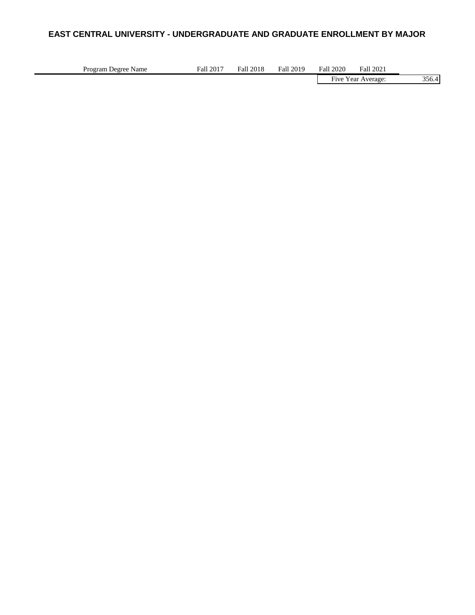| Program<br>Name<br>Degree | 2017<br>$_{\text{hal}}$ | 2018<br>Fall | 2019<br>Fall | 2020<br>Fall | all 2021<br>Fall  |        |
|---------------------------|-------------------------|--------------|--------------|--------------|-------------------|--------|
|                           |                         |              |              | ÷.<br>Five   | Y ear<br>Average: | - 56.4 |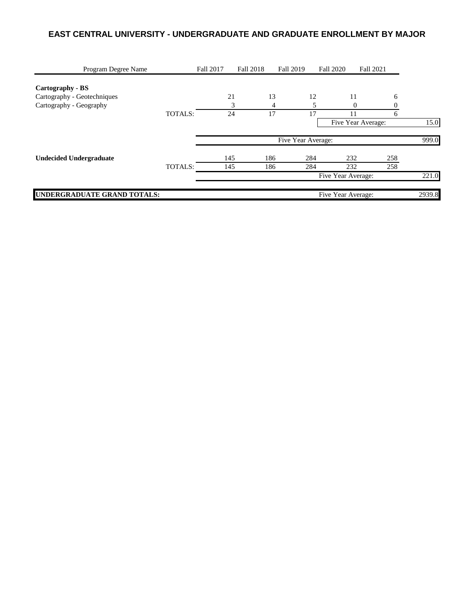| Program Degree Name            |                | <b>Fall 2017</b>   | <b>Fall 2018</b> |     | <b>Fall 2019</b>   | <b>Fall 2020</b> |          | <b>Fall 2021</b>   |     |       |
|--------------------------------|----------------|--------------------|------------------|-----|--------------------|------------------|----------|--------------------|-----|-------|
| Cartography - BS               |                |                    |                  |     |                    |                  |          |                    |     |       |
| Cartography - Geotechniques    |                |                    | 21               | 13  |                    | 12               | 11       |                    | 6   |       |
| Cartography - Geography        |                |                    | 3                | 4   |                    | 5                | $\Omega$ |                    |     |       |
|                                | TOTALS:        |                    | 24               | 17  |                    | 17               |          |                    | 6   |       |
|                                |                |                    |                  |     |                    |                  |          | Five Year Average: |     | 15.0  |
|                                |                |                    |                  |     | Five Year Average: |                  |          |                    |     | 999.0 |
| <b>Undecided Undergraduate</b> |                | 145                |                  | 186 | 284                |                  | 232      |                    | 258 |       |
|                                | <b>TOTALS:</b> | 145                |                  | 186 | 284                |                  | 232      |                    | 258 |       |
|                                |                | Five Year Average: |                  |     |                    |                  |          |                    |     | 221.0 |
|                                |                |                    |                  |     |                    |                  |          |                    |     |       |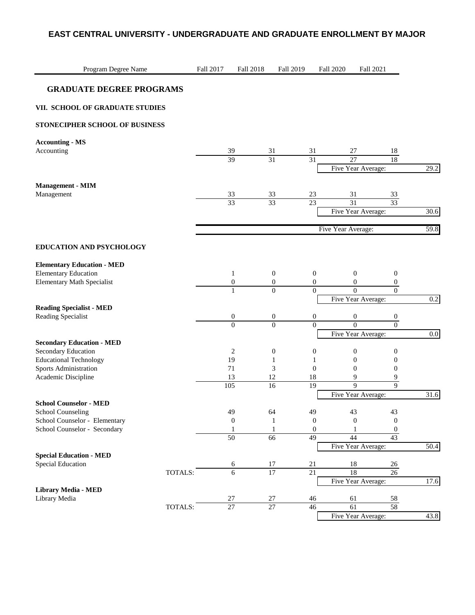| Program Degree Name                                   | Fall 2017 | <b>Fall 2018</b>       |                       | Fall 2019             | <b>Fall 2020</b>    | Fall 2021                |         |
|-------------------------------------------------------|-----------|------------------------|-----------------------|-----------------------|---------------------|--------------------------|---------|
| <b>GRADUATE DEGREE PROGRAMS</b>                       |           |                        |                       |                       |                     |                          |         |
| VII. SCHOOL OF GRADUATE STUDIES                       |           |                        |                       |                       |                     |                          |         |
| STONECIPHER SCHOOL OF BUSINESS                        |           |                        |                       |                       |                     |                          |         |
| <b>Accounting - MS</b>                                |           |                        |                       |                       |                     |                          |         |
| Accounting                                            |           | 39                     | 31                    | 31                    | 27                  | 18                       |         |
|                                                       |           | 39                     | 31                    | 31                    | 27                  | 18<br>Five Year Average: | 29.2    |
| <b>Management - MIM</b>                               |           |                        |                       |                       |                     |                          |         |
| Management                                            |           | 33                     | 33                    | 23                    | 31                  | 33                       |         |
|                                                       |           | 33                     | 33                    | $\overline{23}$       | $\overline{31}$     | 33                       |         |
|                                                       |           |                        |                       |                       |                     | Five Year Average:       | 30.6    |
|                                                       |           |                        |                       |                       | Five Year Average:  |                          | 59.8    |
| EDUCATION AND PSYCHOLOGY                              |           |                        |                       |                       |                     |                          |         |
| <b>Elementary Education - MED</b>                     |           |                        |                       |                       |                     |                          |         |
| <b>Elementary Education</b>                           |           | $\mathbf{1}$           | $\boldsymbol{0}$      | $\mathbf{0}$          | 0                   | $\boldsymbol{0}$         |         |
| <b>Elementary Math Specialist</b>                     |           | $\boldsymbol{0}$       | $\boldsymbol{0}$      | $\boldsymbol{0}$      | $\boldsymbol{0}$    | 0                        |         |
|                                                       |           | $\mathbf{1}$           | $\overline{0}$        | $\mathbf{0}$          | $\Omega$            | $\theta$                 |         |
|                                                       |           |                        |                       |                       |                     | Five Year Average:       | $0.2\,$ |
| <b>Reading Specialist - MED</b><br>Reading Specialist |           | $\boldsymbol{0}$       | $\boldsymbol{0}$      | $\boldsymbol{0}$      | 0                   | $\boldsymbol{0}$         |         |
|                                                       |           | $\overline{0}$         | $\overline{0}$        | $\theta$              | $\overline{0}$      | $\overline{0}$           |         |
|                                                       |           |                        |                       |                       |                     | Five Year Average:       | $0.0\,$ |
| <b>Secondary Education - MED</b>                      |           |                        |                       |                       |                     |                          |         |
| Secondary Education                                   |           | 2                      | $\boldsymbol{0}$      | $\boldsymbol{0}$      | $\boldsymbol{0}$    | $\boldsymbol{0}$         |         |
| <b>Educational Technology</b>                         |           | 19                     | $\mathbf{1}$          | 1                     | $\boldsymbol{0}$    | 0                        |         |
| Sports Administration                                 |           | 71                     | 3                     | $\boldsymbol{0}$      | $\boldsymbol{0}$    | $\boldsymbol{0}$         |         |
| Academic Discipline                                   |           | 13<br>$\overline{105}$ | 12<br>$\overline{16}$ | 18<br>$\overline{19}$ | 9<br>$\overline{9}$ | 9<br>$\overline{9}$      |         |
|                                                       |           |                        |                       |                       |                     | Five Year Average:       | 31.6    |
| <b>School Counselor - MED</b>                         |           |                        |                       |                       |                     |                          |         |
| <b>School Counseling</b>                              |           | 49                     | 64                    | 49                    | 43                  | 43                       |         |
| School Counselor - Elementary                         |           | $\mathbf{0}$           | 1                     | $\boldsymbol{0}$      | $\overline{0}$      | $\boldsymbol{0}$         |         |
| School Counselor - Secondary                          |           | 1                      | $\mathbf{1}$          | $\boldsymbol{0}$      | 1                   | $\boldsymbol{0}$         |         |
|                                                       |           | $\overline{50}$        | 66                    | 49                    | 44                  | 43                       |         |
|                                                       |           |                        |                       |                       |                     | Five Year Average:       | 50.4    |
| <b>Special Education - MED</b>                        |           |                        |                       |                       |                     |                          |         |
| <b>Special Education</b>                              |           | 6                      | 17<br>$\overline{17}$ | 21<br>$\overline{21}$ | 18<br>18            | 26<br>$\overline{26}$    |         |
|                                                       | TOTALS:   | 6                      |                       |                       |                     | Five Year Average:       | 17.6    |
| Library Media - MED                                   |           |                        |                       |                       |                     |                          |         |
| Library Media                                         |           | $27\,$                 | 27                    | 46                    | 61                  | 58                       |         |
|                                                       | TOTALS:   | $\overline{27}$        | $\overline{27}$       | 46                    | 61                  | 58                       |         |
|                                                       |           |                        |                       |                       |                     | Five Year Average:       | 43.8    |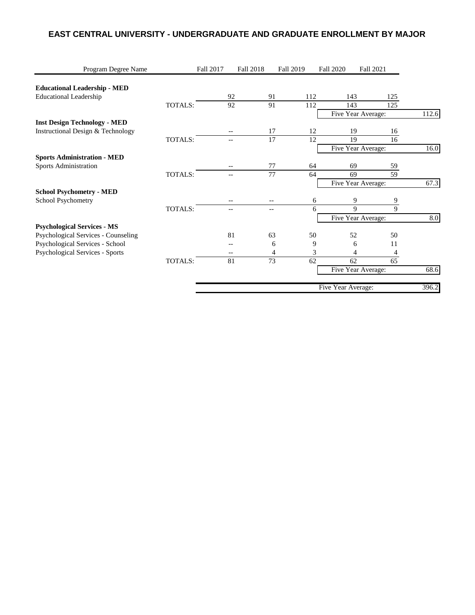| Program Degree Name                 | <b>Fall 2017</b>  | Fall 2018 | <b>Fall 2019</b> | <b>Fall 2020</b>   | <b>Fall 2021</b>   |       |
|-------------------------------------|-------------------|-----------|------------------|--------------------|--------------------|-------|
| <b>Educational Leadership - MED</b> |                   |           |                  |                    |                    |       |
| <b>Educational Leadership</b>       | 92                | 91        | 112              | 143                | 125                |       |
| TOTALS:                             | 92                | 91        | 112              | 143                | 125                |       |
|                                     |                   |           |                  |                    | Five Year Average: | 112.6 |
| <b>Inst Design Technology - MED</b> |                   |           |                  |                    |                    |       |
| Instructional Design & Technology   |                   | 17        | 12               | 19                 | 16                 |       |
| TOTALS:                             | --                | 17        | 12               | 19                 | 16                 |       |
|                                     |                   |           |                  |                    | Five Year Average: | 16.0  |
| <b>Sports Administration - MED</b>  |                   |           |                  |                    |                    |       |
| Sports Administration               | $-\,-$            | 77        | 64               | 69                 | 59                 |       |
| TOTALS:                             | --                | 77        | 64               | 69                 | 59                 |       |
|                                     |                   |           |                  |                    | Five Year Average: | 67.3  |
| <b>School Psychometry - MED</b>     |                   |           |                  |                    |                    |       |
| School Psychometry                  | --                | $- -$     | 6                |                    | 9<br>9             |       |
| TOTALS:                             | --                | $-$       | 6                | $\mathbf Q$        | $\mathbf Q$        |       |
|                                     |                   |           |                  |                    | Five Year Average: | 8.0   |
| <b>Psychological Services - MS</b>  |                   |           |                  |                    |                    |       |
| Psychological Services - Counseling | 81                | 63        | 50               | 52                 | 50                 |       |
| Psychological Services - School     | --                | 6         | 9                | 6                  | 11                 |       |
| Psychological Services - Sports     | $\qquad \qquad -$ | 4         | 3                | 4                  | 4                  |       |
| TOTALS:                             | 81                | 73        | 62               | 62                 | 65                 |       |
|                                     |                   |           |                  |                    | Five Year Average: | 68.6  |
|                                     |                   |           |                  |                    |                    |       |
|                                     |                   |           |                  | Five Year Average: |                    | 396.2 |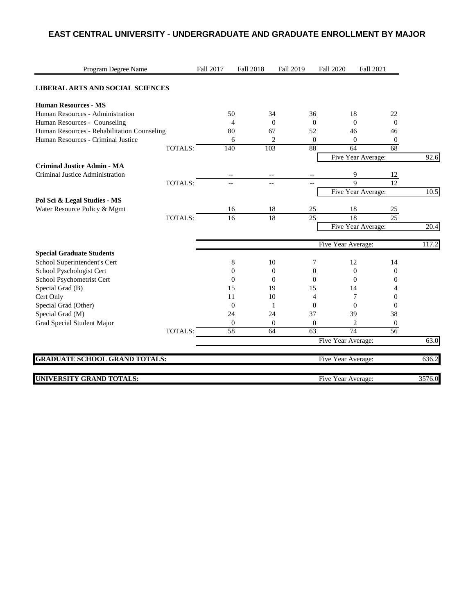| Program Degree Name                         | Fall 2017        | <b>Fall 2018</b> | Fall 2019      | <b>Fall 2020</b>   | Fall 2021          |        |
|---------------------------------------------|------------------|------------------|----------------|--------------------|--------------------|--------|
| <b>LIBERAL ARTS AND SOCIAL SCIENCES</b>     |                  |                  |                |                    |                    |        |
| <b>Human Resources - MS</b>                 |                  |                  |                |                    |                    |        |
| Human Resources - Administration            | 50               | 34               | 36             | 18                 | 22                 |        |
| Human Resources - Counseling                | $\overline{4}$   | $\overline{0}$   | $\mathbf{0}$   | $\mathbf{0}$       | $\boldsymbol{0}$   |        |
| Human Resources - Rehabilitation Counseling | 80               | 67               | 52             | 46                 | 46                 |        |
| Human Resources - Criminal Justice          | 6                | $\overline{c}$   | $\Omega$       | $\Omega$           | $\boldsymbol{0}$   |        |
| TOTALS:                                     | 140              | 103              | 88             | 64                 | 68                 |        |
|                                             |                  |                  |                |                    | Five Year Average: | 92.6   |
| <b>Criminal Justice Admin - MA</b>          |                  |                  |                |                    |                    |        |
| Criminal Justice Administration             | $- -$            | $-$              |                | 9                  | 12                 |        |
| TOTALS:                                     | $-$              | $-$              | $-$            | $\overline{Q}$     | $\overline{12}$    |        |
|                                             |                  |                  |                |                    | Five Year Average: | 10.5   |
| Pol Sci & Legal Studies - MS                |                  |                  |                |                    |                    |        |
| Water Resource Policy & Mgmt                | 16               | 18               | 25             | 18                 | 25                 |        |
| TOTALS:                                     | 16               | 18               | 25             | 18                 | 25                 |        |
|                                             |                  |                  |                |                    | Five Year Average: | 20.4   |
|                                             |                  |                  |                | Five Year Average: |                    | 117.2  |
| <b>Special Graduate Students</b>            |                  |                  |                |                    |                    |        |
| School Superintendent's Cert                | 8                | 10               | 7              | 12                 | 14                 |        |
| School Pyschologist Cert                    | $\Omega$         | $\overline{0}$   | $\Omega$       | $\Omega$           | $\Omega$           |        |
| School Psychometrist Cert                   | $\overline{0}$   | $\overline{0}$   | $\Omega$       | $\Omega$           | 0                  |        |
| Special Grad (B)                            | 15               | 19               | 15             | 14                 | 4                  |        |
| Cert Only                                   | 11               | 10               | $\overline{4}$ | 7                  | $\Omega$           |        |
| Special Grad (Other)                        | $\mathbf{0}$     | 1                | $\Omega$       | $\Omega$           | $\Omega$           |        |
| Special Grad (M)                            | 24               | 24               | 37             | 39                 | 38                 |        |
| Grad Special Student Major                  | $\boldsymbol{0}$ | $\overline{0}$   | $\theta$       | $\overline{2}$     | $\mathbf{0}$       |        |
| <b>TOTALS:</b>                              | 58               | 64               | 63             | 74                 | 56                 |        |
|                                             |                  |                  |                | Five Year Average: |                    | 63.0   |
| <b>GRADUATE SCHOOL GRAND TOTALS:</b>        |                  |                  |                | Five Year Average: |                    | 636.2  |
|                                             |                  |                  |                |                    |                    |        |
| <b>UNIVERSITY GRAND TOTALS:</b>             |                  |                  |                | Five Year Average: |                    | 3576.0 |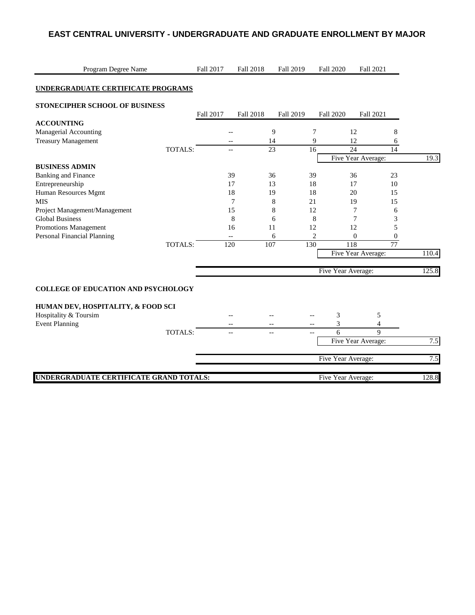Program Degree Name Fall 2017 Fall 2018 Fall 2019 Fall 2020 Fall 2021

#### **UNDERGRADUATE CERTIFICATE PROGRAMS STONECIPHER SCHOOL OF BUSINESS** Fall 2017 Fall 2018 Fall 2019 Fall 2020 Fall 2021 **ACCOUNTING** Managerial Accounting -- 9 7 12 8 Treasury Management 6 14 12 6 TOTALS: - 23 16 24 14 Five Year Average: 19.3 **BUSINESS ADMIN** Banking and Finance 23 39 36 39 36 39 36 39 36 39 Entrepreneurship 17 13 18 17 10 Human Resources Mgmt 18 19 18 20 15 MIS 21 19 15 Project Management/Management 15 15 8 12 7 6 Global Business 8 6 8 7 3 Promotions Management 16 11 12 12 5 Personal Financial Planning  $\qquad \qquad -5$  0 0 0 0 TOTALS: 120 107 130 118 77 Five Year Average: 110.4 Five Year Average: 125.8 **COLLEGE OF EDUCATION AND PSYCHOLOGY HUMAN DEV, HOSPITALITY, & FOOD SCI**  $\text{Hospitality} \& \text{Toursim}$   $\qquad \qquad \text{---}$   $\qquad \qquad \text{---}$  3 5 Event Planning 2008 and 2008 and 2008 and 2008 and 2008 and 2008 and 2008 and 2008 and 2008 and 2008 and 2008 and 2008 and 2008 and 2008 and 2008 and 2008 and 2008 and 2008 and 2008 and 2008 and 2008 and 2008 and 2008 and TOTALS:  $\frac{1}{2}$  --  $\frac{1}{2}$  --  $\frac{1}{2}$  --  $\frac{1}{2}$  --  $\frac{1}{2}$  --  $\frac{1}{2}$  --  $\frac{1}{2}$  --  $\frac{1}{2}$  --  $\frac{1}{2}$  --  $\frac{1}{2}$  --  $\frac{1}{2}$  --  $\frac{1}{2}$  --  $\frac{1}{2}$  --  $\frac{1}{2}$  --  $\frac{1}{2}$  --  $\frac{1}{2}$  --  $\frac{1$ Five Year Average:  $7.5$ Five Year Average:  $7.5$

**UNDERGRADUATE CERTIFICATE GRAND TOTALS:** Five Year Average: 128.8